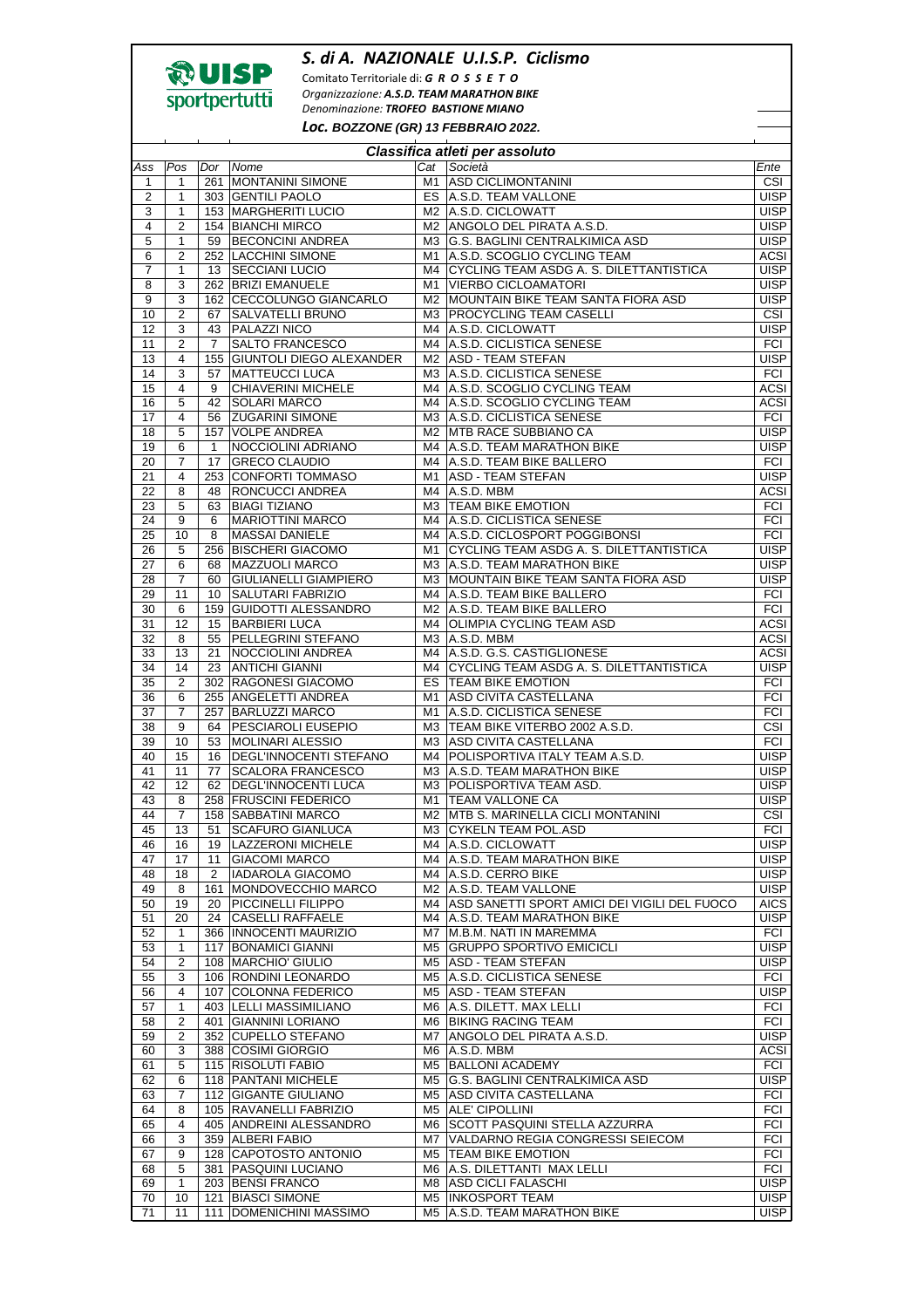

## *S. di A. NAZIONALE U.I.S.P. Ciclismo*

Comitato Territoriale di: *G R O S S E T O Organizzazione: A.S.D. TEAM MARATHON BIKE Denominazione: TROFEO BASTIONE MIANO*

*Loc.* **BOZZONE (GR) 13 FEBBRAIO 2022.** 

| Classifica atleti per assoluto |                     |              |                                                    |          |                                                                         |                            |  |  |  |
|--------------------------------|---------------------|--------------|----------------------------------------------------|----------|-------------------------------------------------------------------------|----------------------------|--|--|--|
| Ass                            | Pos                 | Dor          | Nome                                               | Cat      | Società                                                                 | Ente                       |  |  |  |
| $\mathbf{1}$                   | 1                   |              | 261 MONTANINI SIMONE                               | M1       | <b>ASD CICLIMONTANINI</b>                                               | CSI                        |  |  |  |
| $\overline{2}$                 | 1                   |              | 303 GENTILI PAOLO                                  | ES       | A.S.D. TEAM VALLONE                                                     | <b>UISP</b>                |  |  |  |
| 3                              | 1                   |              | 153 MARGHERITI LUCIO                               |          | M2 A.S.D. CICLOWATT                                                     | <b>UISP</b>                |  |  |  |
| $\overline{\mathbf{4}}$        | 2                   |              | 154 BIANCHI MIRCO                                  | M2       | ANGOLO DEL PIRATA A.S.D.                                                | <b>UISP</b>                |  |  |  |
| 5<br>$\,6$                     | 1<br>$\overline{2}$ | 59           | <b>BECONCINI ANDREA</b><br>252 LACCHINI SIMONE     | MЗ<br>M1 | <b>G.S. BAGLINI CENTRALKIMICA ASD</b><br>A.S.D. SCOGLIO CYCLING TEAM    | <b>UISP</b><br>ACSI        |  |  |  |
| 7                              | 1                   | 13           | <b>SECCIANI LUCIO</b>                              | M4       | CYCLING TEAM ASDG A. S. DILETTANTISTICA                                 | <b>UISP</b>                |  |  |  |
| 8                              | 3                   |              | 262 BRIZI EMANUELE                                 | M1       | <b>VIERBO CICLOAMATORI</b>                                              | <b>UISP</b>                |  |  |  |
| 9                              | 3                   |              | 162 CECCOLUNGO GIANCARLO                           | M2       | MOUNTAIN BIKE TEAM SANTA FIORA ASD                                      | <b>UISP</b>                |  |  |  |
| 10                             | $\overline{2}$      | 67           | SALVATELLI BRUNO                                   | MЗ       | <b>PROCYCLING TEAM CASELLI</b>                                          | CSI                        |  |  |  |
| 12                             | 3                   | 43           | PALAZZI NICO                                       | M4       | A.S.D. CICLOWATT                                                        | <b>UISP</b>                |  |  |  |
| 11                             | $\overline{2}$      | 7            | <b>SALTO FRANCESCO</b>                             | M4       | A.S.D. CICLISTICA SENESE                                                | <b>FCI</b>                 |  |  |  |
| 13                             | 4                   | 155          | <b>GIUNTOLI DIEGO ALEXANDER</b>                    | M2       | <b>ASD - TEAM STEFAN</b>                                                | <b>UISP</b>                |  |  |  |
| 14                             | 3<br>4              | 57<br>9      | <b>MATTEUCCI LUCA</b><br><b>CHIAVERINI MICHELE</b> | ΜЗ       | A.S.D. CICLISTICA SENESE                                                | <b>FCI</b><br><b>ACSI</b>  |  |  |  |
| 15<br>16                       | 5                   | 42           | SOLARI MARCO                                       | M4<br>M4 | A.S.D. SCOGLIO CYCLING TEAM<br>A.S.D. SCOGLIO CYCLING TEAM              | <b>ACSI</b>                |  |  |  |
| 17                             | 4                   | 56           | <b>ZUGARINI SIMONE</b>                             |          | M3 A.S.D. CICLISTICA SENESE                                             | FCI                        |  |  |  |
| 18                             | 5                   | 157          | <b>VOLPE ANDREA</b>                                | M2       | <b>MTB RACE SUBBIANO CA</b>                                             | <b>UISP</b>                |  |  |  |
| 19                             | 6                   | $\mathbf{1}$ | NOCCIOLINI ADRIANO                                 | M4       | A.S.D. TEAM MARATHON BIKE                                               | <b>UISP</b>                |  |  |  |
| 20                             | $\overline{7}$      | 17           | <b>GRECO CLAUDIO</b>                               |          | M4 A.S.D. TEAM BIKE BALLERO                                             | FCI                        |  |  |  |
| 21                             | 4                   | 253          | <b>CONFORTI TOMMASO</b>                            | M1       | <b>ASD - TEAM STEFAN</b>                                                | <b>UISP</b>                |  |  |  |
| 22                             | 8                   | 48           | RONCUCCI ANDREA                                    | M4       | A.S.D. MBM                                                              | <b>ACSI</b>                |  |  |  |
| 23                             | 5                   | 63           | <b>BIAGI TIZIANO</b>                               | ΜЗ       | <b>TEAM BIKE EMOTION</b>                                                | <b>FCI</b>                 |  |  |  |
| 24                             | 9                   | 6            | <b>MARIOTTINI MARCO</b>                            | M4       | A.S.D. CICLISTICA SENESE                                                | FCI                        |  |  |  |
| 25<br>26                       | 10<br>5             | 8            | <b>MASSAI DANIELE</b><br>256 BISCHERI GIACOMO      | M4<br>M1 | A.S.D. CICLOSPORT POGGIBONSI<br>CYCLING TEAM ASDG A. S. DILETTANTISTICA | <b>FCI</b><br><b>UISP</b>  |  |  |  |
| 27                             | 6                   | 68           | <b>MAZZUOLI MARCO</b>                              | M3       | A.S.D. TEAM MARATHON BIKE                                               | <b>UISP</b>                |  |  |  |
| 28                             | 7                   | 60           | <b>GIULIANELLI GIAMPIERO</b>                       | ΜЗ       | MOUNTAIN BIKE TEAM SANTA FIORA ASD                                      | <b>UISP</b>                |  |  |  |
| 29                             | 11                  | 10           | SALUTARI FABRIZIO                                  | M4       | A.S.D. TEAM BIKE BALLERO                                                | <b>FCI</b>                 |  |  |  |
| 30                             | 6                   | 159          | <b>GUIDOTTI ALESSANDRO</b>                         |          | M2 A.S.D. TEAM BIKE BALLERO                                             | <b>FCI</b>                 |  |  |  |
| 31                             | 12                  | 15           | <b>BARBIERI LUCA</b>                               | M4       | <b>OLIMPIA CYCLING TEAM ASD</b>                                         | <b>ACSI</b>                |  |  |  |
| 32                             | 8                   | 55           | PELLEGRINI STEFANO                                 | ΜЗ       | A.S.D. MBM                                                              | <b>ACSI</b>                |  |  |  |
| 33                             | 13                  | 21           | NOCCIOLINI ANDREA                                  | M4       | A.S.D. G.S. CASTIGLIONESE                                               | <b>ACSI</b>                |  |  |  |
| 34                             | 14                  | 23           | <b>ANTICHI GIANNI</b>                              | M4       | CYCLING TEAM ASDG A. S. DILETTANTISTICA                                 | <b>UISP</b>                |  |  |  |
| 35                             | $\overline{2}$      |              | 302 RAGONESI GIACOMO                               | ES       | <b>TEAM BIKE EMOTION</b>                                                | FCI                        |  |  |  |
| 36<br>37                       | 6<br>7              | 257          | 255 ANGELETTI ANDREA<br><b>BARLUZZI MARCO</b>      | M1<br>M1 | <b>ASD CIVITA CASTELLANA</b><br>A.S.D. CICLISTICA SENESE                | FCI<br><b>FCI</b>          |  |  |  |
| 38                             | 9                   | 64           | <b>PESCIAROLI EUSEPIO</b>                          | MЗ       | TEAM BIKE VITERBO 2002 A.S.D.                                           | CSI                        |  |  |  |
| 39                             | 10                  | 53           | <b>MOLINARI ALESSIO</b>                            | MЗ       | <b>ASD CIVITA CASTELLANA</b>                                            | <b>FCI</b>                 |  |  |  |
| 40                             | 15                  | 16           | DEGL'INNOCENTI STEFANO                             | M4       | POLISPORTIVA ITALY TEAM A.S.D.                                          | <b>UISP</b>                |  |  |  |
| 41                             | 11                  | 77           | <b>SCALORA FRANCESCO</b>                           | ΜЗ       | A.S.D. TEAM MARATHON BIKE                                               | <b>UISP</b>                |  |  |  |
| 42                             | 12                  | 62           | <b>DEGL'INNOCENTI LUCA</b>                         |          | M3 POLISPORTIVA TEAM ASD.                                               | <b>UISP</b>                |  |  |  |
| 43                             | 8                   | 258          | <b>FRUSCINI FEDERICO</b>                           | M1       | <b>TEAM VALLONE CA</b>                                                  | <b>UISP</b>                |  |  |  |
| 44                             | $\overline{7}$      | 158          | SABBATINI MARCO                                    |          | M2 MTB S. MARINELLA CICLI MONTANINI                                     | CSI                        |  |  |  |
| 45                             | 13                  | 51           | <b>SCAFURO GIANLUCA</b><br>19 LAZZERONI MICHELE    |          | M3 CYKELN TEAM POL.ASD<br>M4 A.S.D. CICLOWATT                           | <b>FCI</b>                 |  |  |  |
| 46<br>47                       | 16<br>17            | 11           | <b>GIACOMI MARCO</b>                               |          | M4   A.S.D. TEAM MARATHON BIKE                                          | <b>UISP</b><br><b>UISP</b> |  |  |  |
| 48                             | 18                  | 2            | <b>IADAROLA GIACOMO</b>                            |          | M4 A.S.D. CERRO BIKE                                                    | <b>UISP</b>                |  |  |  |
| 49                             | 8                   |              | 161 MONDOVECCHIO MARCO                             |          | M2   A.S.D. TEAM VALLONE                                                | <b>UISP</b>                |  |  |  |
| 50                             | 19                  | 20           | PICCINELLI FILIPPO                                 |          | M4 ASD SANETTI SPORT AMICI DEI VIGILI DEL FUOCO                         | <b>AICS</b>                |  |  |  |
| 51                             | 20                  | 24           | <b>CASELLI RAFFAELE</b>                            |          | M4   A.S.D. TEAM MARATHON BIKE                                          | <b>UISP</b>                |  |  |  |
| 52                             | 1                   |              | 366 INNOCENTI MAURIZIO                             | M7       | <b>M.B.M. NATI IN MAREMMA</b>                                           | FCI                        |  |  |  |
| 53                             | 1                   |              | 117 BONAMICI GIANNI                                | M5       | <b>GRUPPO SPORTIVO EMICICLI</b>                                         | <b>UISP</b>                |  |  |  |
| 54                             | $\overline{2}$      |              | 108 MARCHIO' GIULIO                                | M5       | <b>ASD - TEAM STEFAN</b>                                                | <b>UISP</b>                |  |  |  |
| 55                             | 3                   |              | 106 RONDINI LEONARDO                               |          | M5 A.S.D. CICLISTICA SENESE                                             | <b>FCI</b><br><b>UISP</b>  |  |  |  |
| 56<br>57                       | 4<br>1              |              | 107 COLONNA FEDERICO<br>403 ILELLI MASSIMILIANO    |          | M5 ASD - TEAM STEFAN<br>M6 A.S. DILETT. MAX LELLI                       | FCI                        |  |  |  |
| 58                             | 2                   |              | 401 GIANNINI LORIANO                               |          | M6 BIKING RACING TEAM                                                   | FCI                        |  |  |  |
| 59                             | $\overline{2}$      |              | 352 CUPELLO STEFANO                                | M7.      | ANGOLO DEL PIRATA A.S.D.                                                | <b>UISP</b>                |  |  |  |
| 60                             | 3                   |              | 388 COSIMI GIORGIO                                 | M6       | A.S.D. MBM                                                              | <b>ACSI</b>                |  |  |  |
| 61                             | 5                   |              | 115 RISOLUTI FABIO                                 |          | M5 BALLONI ACADEMY                                                      | FCI                        |  |  |  |
| 62                             | 6                   |              | 118 PANTANI MICHELE                                | M5       | <b>G.S. BAGLINI CENTRALKIMICA ASD</b>                                   | <b>UISP</b>                |  |  |  |
| 63                             | $\overline{7}$      |              | 112 GIGANTE GIULIANO                               |          | M5 ASD CIVITA CASTELLANA                                                | FCI                        |  |  |  |
| 64                             | 8                   |              | 105 RAVANELLI FABRIZIO                             | M5       | ALE' CIPOLLINI                                                          | FCI                        |  |  |  |
| 65                             | 4<br>3              |              | 405 ANDREINI ALESSANDRO                            | M6       | <b>SCOTT PASQUINI STELLA AZZURRA</b>                                    | FCI<br>FCI                 |  |  |  |
| 66<br>67                       | 9                   |              | 359 ALBERI FABIO<br>128 CAPOTOSTO ANTONIO          | M7       | VALDARNO REGIA CONGRESSI SEIECOM<br>M5 TEAM BIKE EMOTION                | FCI                        |  |  |  |
| 68                             | 5                   |              | 381 PASQUINI LUCIANO                               |          | M6 A.S. DILETTANTI MAX LELLI                                            | FCI                        |  |  |  |
| 69                             | 1                   |              | 203 BENSI FRANCO                                   |          | M8 ASD CICLI FALASCHI                                                   | <b>UISP</b>                |  |  |  |
| 70                             | 10                  |              | 121 BIASCI SIMONE                                  |          | M5 INKOSPORT TEAM                                                       | <b>UISP</b>                |  |  |  |
| 71                             | 11                  |              | 111 DOMENICHINI MASSIMO                            | M5       | A.S.D. TEAM MARATHON BIKE                                               | <b>UISP</b>                |  |  |  |